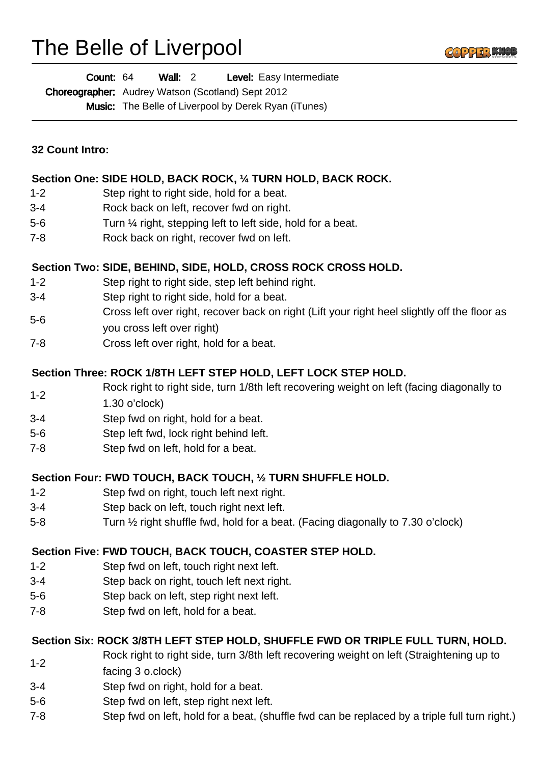# The Belle of Liverpool



| Count: 64 | <b>Wall: 2</b> | Level: Easy Intermediate |
|-----------|----------------|--------------------------|
|-----------|----------------|--------------------------|

Choreographer: Audrey Watson (Scotland) Sept 2012

Music: The Belle of Liverpool by Derek Ryan (iTunes)

| <b>32 Count Intro:</b> |  |
|------------------------|--|
|                        |  |

#### **Section One: SIDE HOLD, BACK ROCK, ¼ TURN HOLD, BACK ROCK.**

- 1-2 Step right to right side, hold for a beat.
- 3-4 Rock back on left, recover fwd on right.
- 5-6 Turn ¼ right, stepping left to left side, hold for a beat.
- 7-8 Rock back on right, recover fwd on left.

# **Section Two: SIDE, BEHIND, SIDE, HOLD, CROSS ROCK CROSS HOLD.**

- 1-2 Step right to right side, step left behind right.
- 3-4 Step right to right side, hold for a beat.
- 5-6 Cross left over right, recover back on right (Lift your right heel slightly off the floor as
- you cross left over right)
- 7-8 Cross left over right, hold for a beat.

# **Section Three: ROCK 1/8TH LEFT STEP HOLD, LEFT LOCK STEP HOLD.**

- 1-2 Rock right to right side, turn 1/8th left recovering weight on left (facing diagonally to
- 1.30 o'clock)
- 3-4 Step fwd on right, hold for a beat.
- 5-6 Step left fwd, lock right behind left.
- 7-8 Step fwd on left, hold for a beat.

# **Section Four: FWD TOUCH, BACK TOUCH, ½ TURN SHUFFLE HOLD.**

- 1-2 Step fwd on right, touch left next right.
- 3-4 Step back on left, touch right next left.
- 5-8 Turn ½ right shuffle fwd, hold for a beat. (Facing diagonally to 7.30 o'clock)

# **Section Five: FWD TOUCH, BACK TOUCH, COASTER STEP HOLD.**

- 1-2 Step fwd on left, touch right next left.
- 3-4 Step back on right, touch left next right.
- 5-6 Step back on left, step right next left.
- 7-8 Step fwd on left, hold for a beat.

# **Section Six: ROCK 3/8TH LEFT STEP HOLD, SHUFFLE FWD OR TRIPLE FULL TURN, HOLD.**

- 1-2 Rock right to right side, turn 3/8th left recovering weight on left (Straightening up to
- facing 3 o.clock)
- 3-4 Step fwd on right, hold for a beat.
- 5-6 Step fwd on left, step right next left.
- 7-8 Step fwd on left, hold for a beat, (shuffle fwd can be replaced by a triple full turn right.)